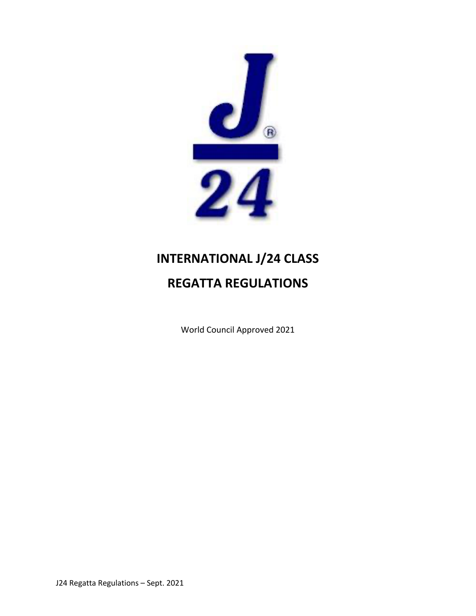

# **INTERNATIONAL J/24 CLASS REGATTA REGULATIONS**

World Council Approved 2021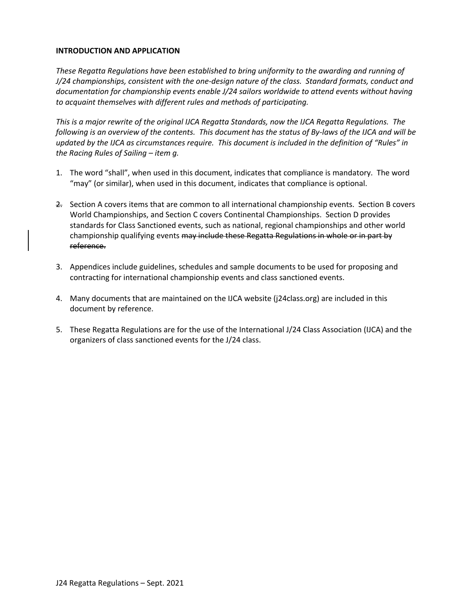# **INTRODUCTION AND APPLICATION**

*These Regatta Regulations have been established to bring uniformity to the awarding and running of J/24 championships, consistent with the one-design nature of the class. Standard formats, conduct and documentation for championship events enable J/24 sailors worldwide to attend events without having to acquaint themselves with different rules and methods of participating.*

*This is a major rewrite of the original IJCA Regatta Standards, now the IJCA Regatta Regulations. The following is an overview of the contents. This document has the status of By-laws of the IJCA and will be updated by the IJCA as circumstances require. This document is included in the definition of "Rules" in the Racing Rules of Sailing – item g.*

- 1. The word "shall", when used in this document, indicates that compliance is mandatory. The word "may" (or similar), when used in this document, indicates that compliance is optional.
- 2. Section A covers items that are common to all international championship events. Section B covers World Championships, and Section C covers Continental Championships. Section D provides standards for Class Sanctioned events, such as national, regional championships and other world championship qualifying events may include these Regatta Regulations in whole or in part by reference.
- 3. Appendices include guidelines, schedules and sample documents to be used for proposing and contracting for international championship events and class sanctioned events.
- 4. Many documents that are maintained on the IJCA website (j24class.org) are included in this document by reference.
- 5. These Regatta Regulations are for the use of the International J/24 Class Association (IJCA) and the organizers of class sanctioned events for the J/24 class.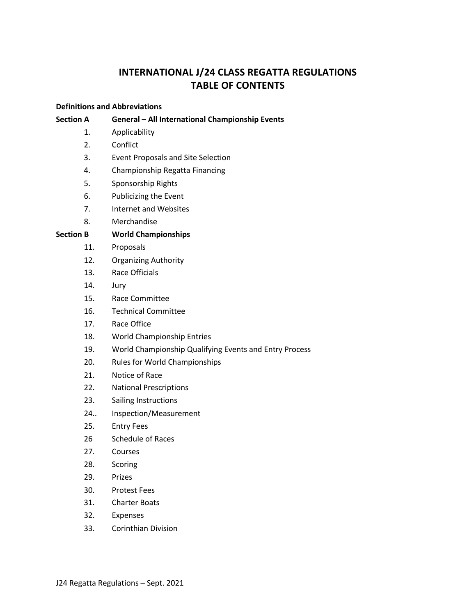# **INTERNATIONAL J/24 CLASS REGATTA REGULATIONS TABLE OF CONTENTS**

# **Definitions and Abbreviations**

# **Section A General – All International Championship Events**

- 1. Applicability
- 2. Conflict
- 3. Event Proposals and Site Selection
- 4. Championship Regatta Financing
- 5. Sponsorship Rights
- 6. Publicizing the Event
- 7. Internet and Websites
- 8. Merchandise

# **Section B World Championships**

- 11. Proposals
- 12. Organizing Authority
- 13. Race Officials
- 14. Jury
- 15. Race Committee
- 16. Technical Committee
- 17. Race Office
- 18. World Championship Entries
- 19. World Championship Qualifying Events and Entry Process
- 20. Rules for World Championships
- 21. Notice of Race
- 22. National Prescriptions
- 23. Sailing Instructions
- 24.. Inspection/Measurement
- 25. Entry Fees
- 26 Schedule of Races
- 27. Courses
- 28. Scoring
- 29. Prizes
- 30. Protest Fees
- 31. Charter Boats
- 32. Expenses
- 33. Corinthian Division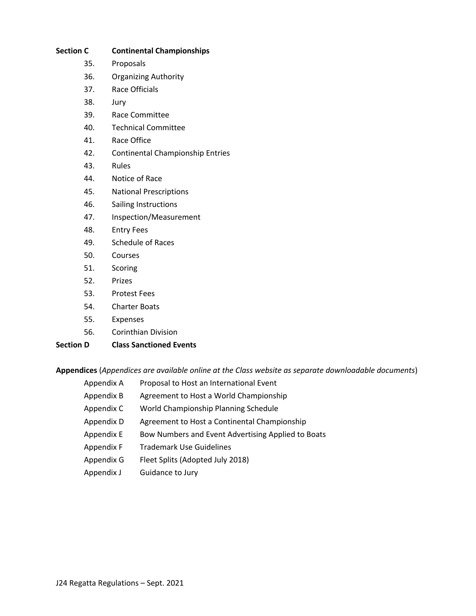| <b>Section C</b> | <b>Continental Championships</b>        |
|------------------|-----------------------------------------|
| 35.              | Proposals                               |
| 36.              | <b>Organizing Authority</b>             |
| 37.              | Race Officials                          |
| 38.              | Jury                                    |
| 39.              | Race Committee                          |
| 40.              | <b>Technical Committee</b>              |
| 41.              | Race Office                             |
| 42.              | <b>Continental Championship Entries</b> |
| 43.              | Rules                                   |
| 44.              | Notice of Race                          |
| 45.              | <b>National Prescriptions</b>           |
| 46.              | Sailing Instructions                    |
| 47.              | Inspection/Measurement                  |
| 48.              | <b>Entry Fees</b>                       |
| 49.              | <b>Schedule of Races</b>                |
| 50.              | Courses                                 |
| 51.              | Scoring                                 |
| 52.              | Prizes                                  |
| 53.              | <b>Protest Fees</b>                     |
| 54.              | <b>Charter Boats</b>                    |
| 55.              | <b>Expenses</b>                         |
| 56.              | <b>Corinthian Division</b>              |
| <b>Section D</b> | <b>Class Sanctioned Events</b>          |

# **Appendices** (*Appendices are available online at the Class website as separate downloadable documents*)

| Appendix A | Proposal to Host an International Event            |
|------------|----------------------------------------------------|
| Appendix B | Agreement to Host a World Championship             |
| Appendix C | World Championship Planning Schedule               |
| Appendix D | Agreement to Host a Continental Championship       |
| Appendix E | Bow Numbers and Event Advertising Applied to Boats |
| Appendix F | <b>Trademark Use Guidelines</b>                    |
| Appendix G | Fleet Splits (Adopted July 2018)                   |
| Appendix J | Guidance to Jury                                   |
|            |                                                    |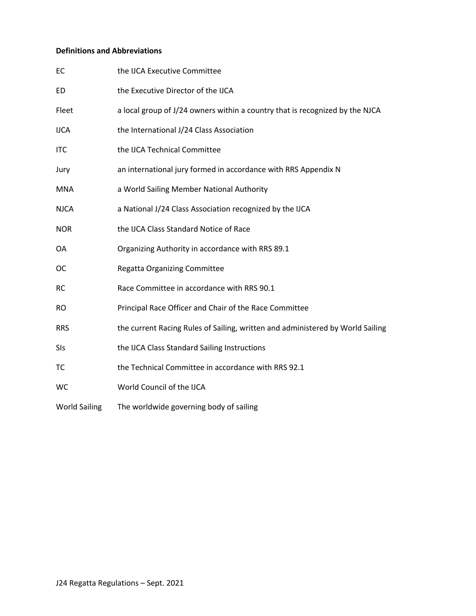# **Definitions and Abbreviations**

| EC                   | the IJCA Executive Committee                                                   |
|----------------------|--------------------------------------------------------------------------------|
| <b>ED</b>            | the Executive Director of the IJCA                                             |
| Fleet                | a local group of J/24 owners within a country that is recognized by the NJCA   |
| <b>IJCA</b>          | the International J/24 Class Association                                       |
| <b>ITC</b>           | the IJCA Technical Committee                                                   |
| Jury                 | an international jury formed in accordance with RRS Appendix N                 |
| <b>MNA</b>           | a World Sailing Member National Authority                                      |
| <b>NJCA</b>          | a National J/24 Class Association recognized by the IJCA                       |
| <b>NOR</b>           | the IJCA Class Standard Notice of Race                                         |
| OA                   | Organizing Authority in accordance with RRS 89.1                               |
| <b>OC</b>            | <b>Regatta Organizing Committee</b>                                            |
| <b>RC</b>            | Race Committee in accordance with RRS 90.1                                     |
| <b>RO</b>            | Principal Race Officer and Chair of the Race Committee                         |
| <b>RRS</b>           | the current Racing Rules of Sailing, written and administered by World Sailing |
| SIs                  | the IJCA Class Standard Sailing Instructions                                   |
| TC                   | the Technical Committee in accordance with RRS 92.1                            |
| WC                   | World Council of the IJCA                                                      |
| <b>World Sailing</b> | The worldwide governing body of sailing                                        |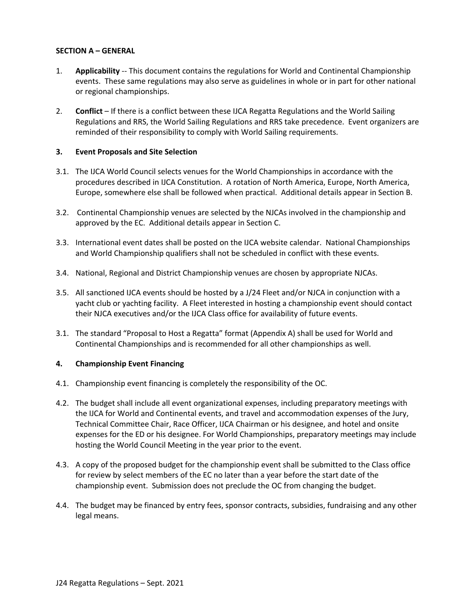# **SECTION A – GENERAL**

- 1. **Applicability** -- This document contains the regulations for World and Continental Championship events. These same regulations may also serve as guidelines in whole or in part for other national or regional championships.
- 2. **Conflict** If there is a conflict between these IJCA Regatta Regulations and the World Sailing Regulations and RRS, the World Sailing Regulations and RRS take precedence. Event organizers are reminded of their responsibility to comply with World Sailing requirements.

# **3. Event Proposals and Site Selection**

- 3.1. The IJCA World Council selects venues for the World Championships in accordance with the procedures described in IJCA Constitution. A rotation of North America, Europe, North America, Europe, somewhere else shall be followed when practical. Additional details appear in Section B.
- 3.2. Continental Championship venues are selected by the NJCAs involved in the championship and approved by the EC. Additional details appear in Section C.
- 3.3. International event dates shall be posted on the IJCA website calendar. National Championships and World Championship qualifiers shall not be scheduled in conflict with these events.
- 3.4. National, Regional and District Championship venues are chosen by appropriate NJCAs.
- 3.5. All sanctioned IJCA events should be hosted by a J/24 Fleet and/or NJCA in conjunction with a yacht club or yachting facility. A Fleet interested in hosting a championship event should contact their NJCA executives and/or the IJCA Class office for availability of future events.
- 3.1. The standard "Proposal to Host a Regatta" format (Appendix A) shall be used for World and Continental Championships and is recommended for all other championships as well.

# **4. Championship Event Financing**

- 4.1. Championship event financing is completely the responsibility of the OC.
- 4.2. The budget shall include all event organizational expenses, including preparatory meetings with the IJCA for World and Continental events, and travel and accommodation expenses of the Jury, Technical Committee Chair, Race Officer, IJCA Chairman or his designee, and hotel and onsite expenses for the ED or his designee. For World Championships, preparatory meetings may include hosting the World Council Meeting in the year prior to the event.
- 4.3. A copy of the proposed budget for the championship event shall be submitted to the Class office for review by select members of the EC no later than a year before the start date of the championship event. Submission does not preclude the OC from changing the budget.
- 4.4. The budget may be financed by entry fees, sponsor contracts, subsidies, fundraising and any other legal means.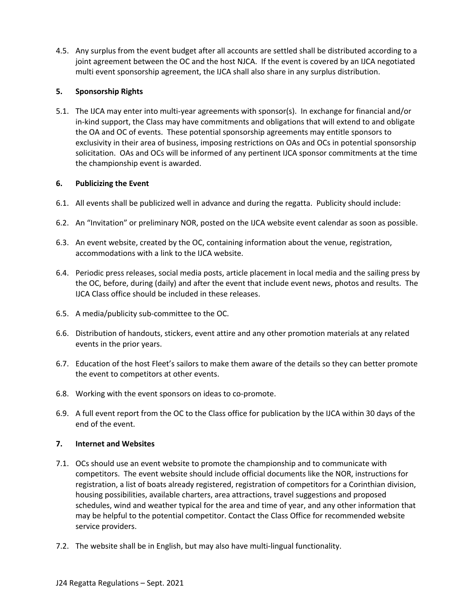4.5. Any surplus from the event budget after all accounts are settled shall be distributed according to a joint agreement between the OC and the host NJCA. If the event is covered by an IJCA negotiated multi event sponsorship agreement, the IJCA shall also share in any surplus distribution.

# **5. Sponsorship Rights**

5.1. The IJCA may enter into multi-year agreements with sponsor(s). In exchange for financial and/or in-kind support, the Class may have commitments and obligations that will extend to and obligate the OA and OC of events. These potential sponsorship agreements may entitle sponsors to exclusivity in their area of business, imposing restrictions on OAs and OCs in potential sponsorship solicitation. OAs and OCs will be informed of any pertinent IJCA sponsor commitments at the time the championship event is awarded.

# **6. Publicizing the Event**

- 6.1. All events shall be publicized well in advance and during the regatta. Publicity should include:
- 6.2. An "Invitation" or preliminary NOR, posted on the IJCA website event calendar as soon as possible.
- 6.3. An event website, created by the OC, containing information about the venue, registration, accommodations with a link to the IJCA website.
- 6.4. Periodic press releases, social media posts, article placement in local media and the sailing press by the OC, before, during (daily) and after the event that include event news, photos and results. The IJCA Class office should be included in these releases.
- 6.5. A media/publicity sub-committee to the OC.
- 6.6. Distribution of handouts, stickers, event attire and any other promotion materials at any related events in the prior years.
- 6.7. Education of the host Fleet's sailors to make them aware of the details so they can better promote the event to competitors at other events.
- 6.8. Working with the event sponsors on ideas to co-promote.
- 6.9. A full event report from the OC to the Class office for publication by the IJCA within 30 days of the end of the event.

# **7. Internet and Websites**

- 7.1. OCs should use an event website to promote the championship and to communicate with competitors. The event website should include official documents like the NOR, instructions for registration, a list of boats already registered, registration of competitors for a Corinthian division, housing possibilities, available charters, area attractions, travel suggestions and proposed schedules, wind and weather typical for the area and time of year, and any other information that may be helpful to the potential competitor. Contact the Class Office for recommended website service providers.
- 7.2. The website shall be in English, but may also have multi-lingual functionality.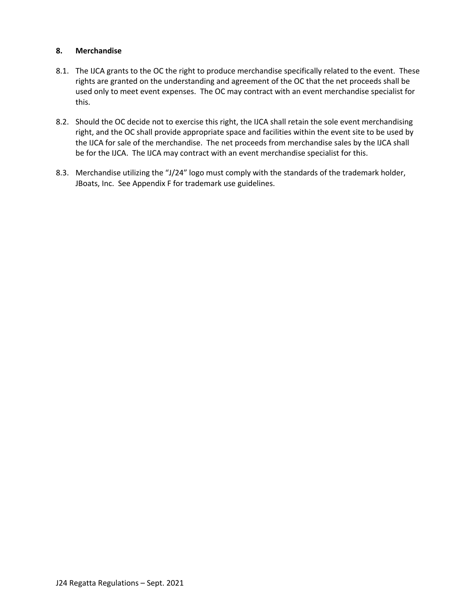# **8. Merchandise**

- 8.1. The IJCA grants to the OC the right to produce merchandise specifically related to the event. These rights are granted on the understanding and agreement of the OC that the net proceeds shall be used only to meet event expenses. The OC may contract with an event merchandise specialist for this.
- 8.2. Should the OC decide not to exercise this right, the IJCA shall retain the sole event merchandising right, and the OC shall provide appropriate space and facilities within the event site to be used by the IJCA for sale of the merchandise. The net proceeds from merchandise sales by the IJCA shall be for the IJCA. The IJCA may contract with an event merchandise specialist for this.
- 8.3. Merchandise utilizing the "J/24" logo must comply with the standards of the trademark holder, JBoats, Inc. See Appendix F for trademark use guidelines.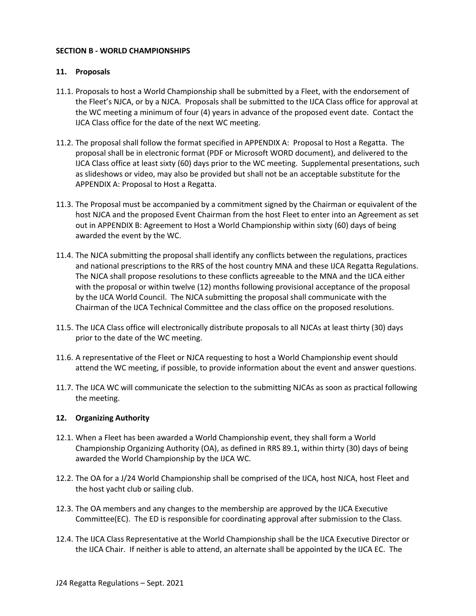# **SECTION B - WORLD CHAMPIONSHIPS**

# **11. Proposals**

- 11.1. Proposals to host a World Championship shall be submitted by a Fleet, with the endorsement of the Fleet's NJCA, or by a NJCA. Proposals shall be submitted to the IJCA Class office for approval at the WC meeting a minimum of four (4) years in advance of the proposed event date. Contact the IJCA Class office for the date of the next WC meeting.
- 11.2. The proposal shall follow the format specified in APPENDIX A: Proposal to Host a Regatta. The proposal shall be in electronic format (PDF or Microsoft WORD document), and delivered to the IJCA Class office at least sixty (60) days prior to the WC meeting. Supplemental presentations, such as slideshows or video, may also be provided but shall not be an acceptable substitute for the APPENDIX A: Proposal to Host a Regatta.
- 11.3. The Proposal must be accompanied by a commitment signed by the Chairman or equivalent of the host NJCA and the proposed Event Chairman from the host Fleet to enter into an Agreement as set out in APPENDIX B: Agreement to Host a World Championship within sixty (60) days of being awarded the event by the WC.
- 11.4. The NJCA submitting the proposal shall identify any conflicts between the regulations, practices and national prescriptions to the RRS of the host country MNA and these IJCA Regatta Regulations. The NJCA shall propose resolutions to these conflicts agreeable to the MNA and the IJCA either with the proposal or within twelve (12) months following provisional acceptance of the proposal by the IJCA World Council. The NJCA submitting the proposal shall communicate with the Chairman of the IJCA Technical Committee and the class office on the proposed resolutions.
- 11.5. The IJCA Class office will electronically distribute proposals to all NJCAs at least thirty (30) days prior to the date of the WC meeting.
- 11.6. A representative of the Fleet or NJCA requesting to host a World Championship event should attend the WC meeting, if possible, to provide information about the event and answer questions.
- 11.7. The IJCA WC will communicate the selection to the submitting NJCAs as soon as practical following the meeting.

# **12. Organizing Authority**

- 12.1. When a Fleet has been awarded a World Championship event, they shall form a World Championship Organizing Authority (OA), as defined in RRS 89.1, within thirty (30) days of being awarded the World Championship by the IJCA WC.
- 12.2. The OA for a J/24 World Championship shall be comprised of the IJCA, host NJCA, host Fleet and the host yacht club or sailing club.
- 12.3. The OA members and any changes to the membership are approved by the IJCA Executive Committee(EC). The ED is responsible for coordinating approval after submission to the Class.
- 12.4. The IJCA Class Representative at the World Championship shall be the IJCA Executive Director or the IJCA Chair. If neither is able to attend, an alternate shall be appointed by the IJCA EC. The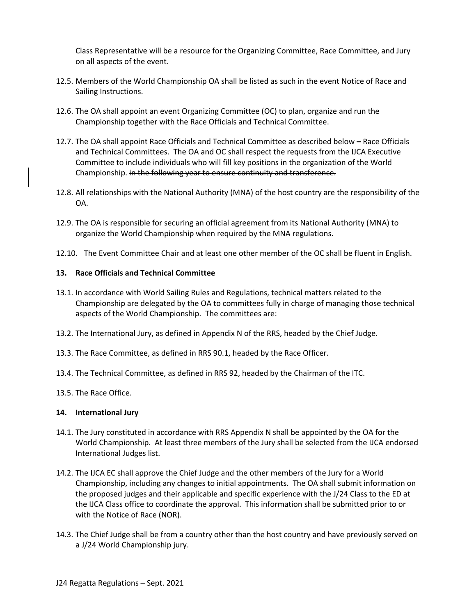Class Representative will be a resource for the Organizing Committee, Race Committee, and Jury on all aspects of the event.

- 12.5. Members of the World Championship OA shall be listed as such in the event Notice of Race and Sailing Instructions.
- 12.6. The OA shall appoint an event Organizing Committee (OC) to plan, organize and run the Championship together with the Race Officials and Technical Committee.
- 12.7. The OA shall appoint Race Officials and Technical Committee as described below **–** Race Officials and Technical Committees. The OA and OC shall respect the requests from the IJCA Executive Committee to include individuals who will fill key positions in the organization of the World Championship. in the following year to ensure continuity and transference.
- 12.8. All relationships with the National Authority (MNA) of the host country are the responsibility of the OA.
- 12.9. The OA is responsible for securing an official agreement from its National Authority (MNA) to organize the World Championship when required by the MNA regulations.
- 12.10. The Event Committee Chair and at least one other member of the OC shall be fluent in English.

#### **13. Race Officials and Technical Committee**

- 13.1. In accordance with World Sailing Rules and Regulations, technical matters related to the Championship are delegated by the OA to committees fully in charge of managing those technical aspects of the World Championship. The committees are:
- 13.2. The International Jury, as defined in Appendix N of the RRS, headed by the Chief Judge.
- 13.3. The Race Committee, as defined in RRS 90.1, headed by the Race Officer.
- 13.4. The Technical Committee, as defined in RRS 92, headed by the Chairman of the ITC.
- 13.5. The Race Office.

#### **14. International Jury**

- 14.1. The Jury constituted in accordance with RRS Appendix N shall be appointed by the OA for the World Championship. At least three members of the Jury shall be selected from the IJCA endorsed International Judges list.
- 14.2. The IJCA EC shall approve the Chief Judge and the other members of the Jury for a World Championship, including any changes to initial appointments. The OA shall submit information on the proposed judges and their applicable and specific experience with the J/24 Class to the ED at the IJCA Class office to coordinate the approval. This information shall be submitted prior to or with the Notice of Race (NOR).
- 14.3. The Chief Judge shall be from a country other than the host country and have previously served on a J/24 World Championship jury.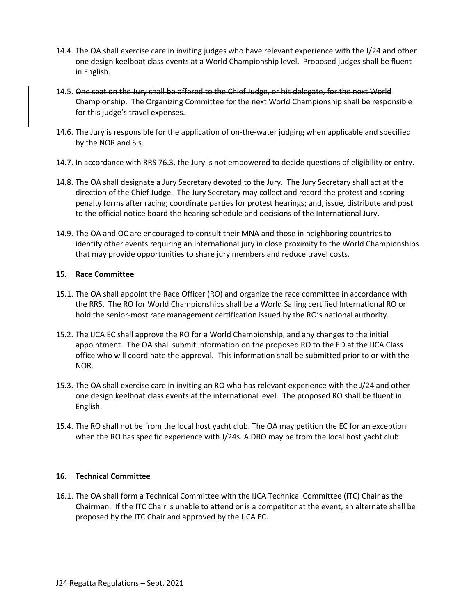- 14.4. The OA shall exercise care in inviting judges who have relevant experience with the J/24 and other one design keelboat class events at a World Championship level. Proposed judges shall be fluent in English.
- 14.5. One seat on the Jury shall be offered to the Chief Judge, or his delegate, for the next World Championship. The Organizing Committee for the next World Championship shall be responsible for this judge's travel expenses.
- 14.6. The Jury is responsible for the application of on-the-water judging when applicable and specified by the NOR and SIs.
- 14.7. In accordance with RRS 76.3, the Jury is not empowered to decide questions of eligibility or entry.
- 14.8. The OA shall designate a Jury Secretary devoted to the Jury. The Jury Secretary shall act at the direction of the Chief Judge. The Jury Secretary may collect and record the protest and scoring penalty forms after racing; coordinate parties for protest hearings; and, issue, distribute and post to the official notice board the hearing schedule and decisions of the International Jury.
- 14.9. The OA and OC are encouraged to consult their MNA and those in neighboring countries to identify other events requiring an international jury in close proximity to the World Championships that may provide opportunities to share jury members and reduce travel costs.

# **15. Race Committee**

- 15.1. The OA shall appoint the Race Officer (RO) and organize the race committee in accordance with the RRS. The RO for World Championships shall be a World Sailing certified International RO or hold the senior-most race management certification issued by the RO's national authority.
- 15.2. The IJCA EC shall approve the RO for a World Championship, and any changes to the initial appointment. The OA shall submit information on the proposed RO to the ED at the IJCA Class office who will coordinate the approval. This information shall be submitted prior to or with the NOR.
- 15.3. The OA shall exercise care in inviting an RO who has relevant experience with the J/24 and other one design keelboat class events at the international level. The proposed RO shall be fluent in English.
- 15.4. The RO shall not be from the local host yacht club. The OA may petition the EC for an exception when the RO has specific experience with J/24s. A DRO may be from the local host yacht club

# **16. Technical Committee**

16.1. The OA shall form a Technical Committee with the IJCA Technical Committee (ITC) Chair as the Chairman. If the ITC Chair is unable to attend or is a competitor at the event, an alternate shall be proposed by the ITC Chair and approved by the IJCA EC.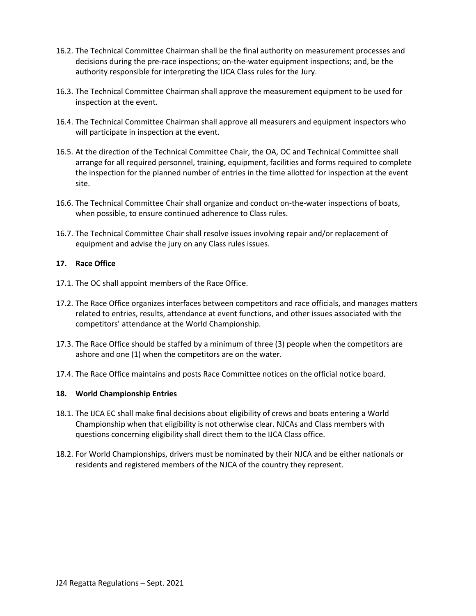- 16.2. The Technical Committee Chairman shall be the final authority on measurement processes and decisions during the pre-race inspections; on-the-water equipment inspections; and, be the authority responsible for interpreting the IJCA Class rules for the Jury.
- 16.3. The Technical Committee Chairman shall approve the measurement equipment to be used for inspection at the event.
- 16.4. The Technical Committee Chairman shall approve all measurers and equipment inspectors who will participate in inspection at the event.
- 16.5. At the direction of the Technical Committee Chair, the OA, OC and Technical Committee shall arrange for all required personnel, training, equipment, facilities and forms required to complete the inspection for the planned number of entries in the time allotted for inspection at the event site.
- 16.6. The Technical Committee Chair shall organize and conduct on-the-water inspections of boats, when possible, to ensure continued adherence to Class rules.
- 16.7. The Technical Committee Chair shall resolve issues involving repair and/or replacement of equipment and advise the jury on any Class rules issues.

# **17. Race Office**

- 17.1. The OC shall appoint members of the Race Office.
- 17.2. The Race Office organizes interfaces between competitors and race officials, and manages matters related to entries, results, attendance at event functions, and other issues associated with the competitors' attendance at the World Championship.
- 17.3. The Race Office should be staffed by a minimum of three (3) people when the competitors are ashore and one (1) when the competitors are on the water.
- 17.4. The Race Office maintains and posts Race Committee notices on the official notice board.

# **18. World Championship Entries**

- 18.1. The IJCA EC shall make final decisions about eligibility of crews and boats entering a World Championship when that eligibility is not otherwise clear. NJCAs and Class members with questions concerning eligibility shall direct them to the IJCA Class office.
- 18.2. For World Championships, drivers must be nominated by their NJCA and be either nationals or residents and registered members of the NJCA of the country they represent.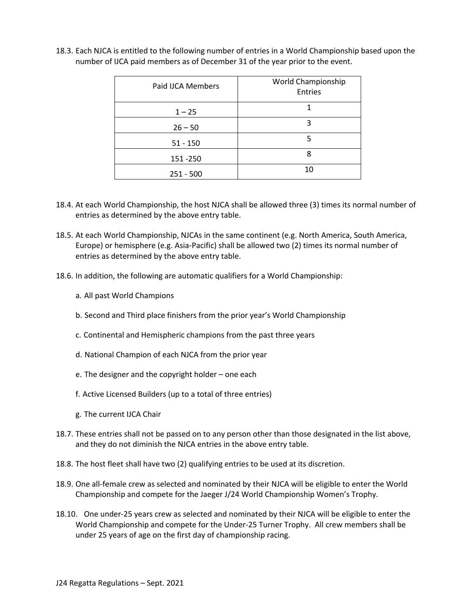| Paid IJCA Members | World Championship<br>Entries |
|-------------------|-------------------------------|
| $1 - 25$          |                               |
| $26 - 50$         | ς                             |
| $51 - 150$        | 5                             |
| 151 - 250         |                               |
| $251 - 500$       | 10                            |

18.3. Each NJCA is entitled to the following number of entries in a World Championship based upon the number of IJCA paid members as of December 31 of the year prior to the event.

- 18.4. At each World Championship, the host NJCA shall be allowed three (3) times its normal number of entries as determined by the above entry table.
- 18.5. At each World Championship, NJCAs in the same continent (e.g. North America, South America, Europe) or hemisphere (e.g. Asia-Pacific) shall be allowed two (2) times its normal number of entries as determined by the above entry table.
- 18.6. In addition, the following are automatic qualifiers for a World Championship:
	- a. All past World Champions
	- b. Second and Third place finishers from the prior year's World Championship
	- c. Continental and Hemispheric champions from the past three years
	- d. National Champion of each NJCA from the prior year
	- e. The designer and the copyright holder one each
	- f. Active Licensed Builders (up to a total of three entries)
	- g. The current IJCA Chair
- 18.7. These entries shall not be passed on to any person other than those designated in the list above, and they do not diminish the NJCA entries in the above entry table.
- 18.8. The host fleet shall have two (2) qualifying entries to be used at its discretion.
- 18.9. One all-female crew as selected and nominated by their NJCA will be eligible to enter the World Championship and compete for the Jaeger J/24 World Championship Women's Trophy.
- 18.10. One under-25 years crew as selected and nominated by their NJCA will be eligible to enter the World Championship and compete for the Under-25 Turner Trophy. All crew members shall be under 25 years of age on the first day of championship racing.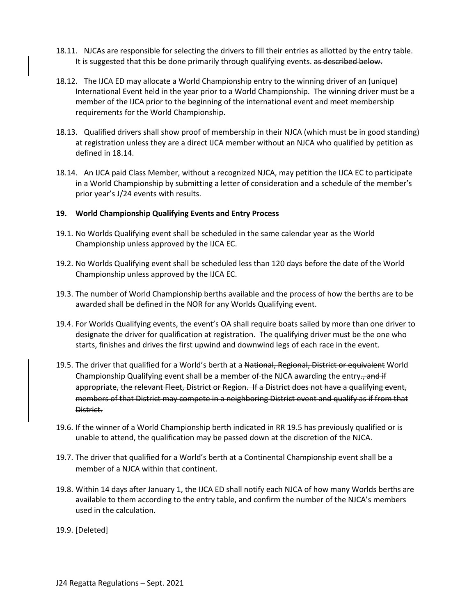- 18.11. NJCAs are responsible for selecting the drivers to fill their entries as allotted by the entry table. It is suggested that this be done primarily through qualifying events. as described below.
- 18.12. The IJCA ED may allocate a World Championship entry to the winning driver of an (unique) International Event held in the year prior to a World Championship. The winning driver must be a member of the IJCA prior to the beginning of the international event and meet membership requirements for the World Championship.
- 18.13. Qualified drivers shall show proof of membership in their NJCA (which must be in good standing) at registration unless they are a direct IJCA member without an NJCA who qualified by petition as defined in 18.14.
- 18.14. An IJCA paid Class Member, without a recognized NJCA, may petition the IJCA EC to participate in a World Championship by submitting a letter of consideration and a schedule of the member's prior year's J/24 events with results.

#### **19. World Championship Qualifying Events and Entry Process**

- 19.1. No Worlds Qualifying event shall be scheduled in the same calendar year as the World Championship unless approved by the IJCA EC.
- 19.2. No Worlds Qualifying event shall be scheduled less than 120 days before the date of the World Championship unless approved by the IJCA EC.
- 19.3. The number of World Championship berths available and the process of how the berths are to be awarded shall be defined in the NOR for any Worlds Qualifying event.
- 19.4. For Worlds Qualifying events, the event's OA shall require boats sailed by more than one driver to designate the driver for qualification at registration. The qualifying driver must be the one who starts, finishes and drives the first upwind and downwind legs of each race in the event.
- 19.5. The driver that qualified for a World's berth at a National, Regional, District or equivalent World Championship Qualifying event shall be a member of the NJCA awarding the entry $\frac{1}{2}$  and if appropriate, the relevant Fleet, District or Region. If a District does not have a qualifying event, members of that District may compete in a neighboring District event and qualify as if from that District.
- 19.6. If the winner of a World Championship berth indicated in RR 19.5 has previously qualified or is unable to attend, the qualification may be passed down at the discretion of the NJCA.
- 19.7. The driver that qualified for a World's berth at a Continental Championship event shall be a member of a NJCA within that continent.
- 19.8. Within 14 days after January 1, the IJCA ED shall notify each NJCA of how many Worlds berths are available to them according to the entry table, and confirm the number of the NJCA's members used in the calculation.
- 19.9. [Deleted]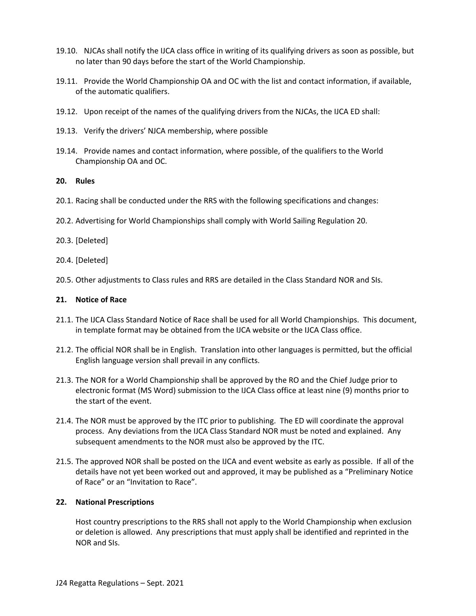- 19.10. NJCAs shall notify the IJCA class office in writing of its qualifying drivers as soon as possible, but no later than 90 days before the start of the World Championship.
- 19.11. Provide the World Championship OA and OC with the list and contact information, if available, of the automatic qualifiers.
- 19.12. Upon receipt of the names of the qualifying drivers from the NJCAs, the IJCA ED shall:
- 19.13. Verify the drivers' NJCA membership, where possible
- 19.14. Provide names and contact information, where possible, of the qualifiers to the World Championship OA and OC.

#### **20. Rules**

- 20.1. Racing shall be conducted under the RRS with the following specifications and changes:
- 20.2. Advertising for World Championships shall comply with World Sailing Regulation 20.

#### 20.3. [Deleted]

- 20.4. [Deleted]
- 20.5. Other adjustments to Class rules and RRS are detailed in the Class Standard NOR and SIs.

#### **21. Notice of Race**

- 21.1. The IJCA Class Standard Notice of Race shall be used for all World Championships. This document, in template format may be obtained from the IJCA website or the IJCA Class office.
- 21.2. The official NOR shall be in English. Translation into other languages is permitted, but the official English language version shall prevail in any conflicts.
- 21.3. The NOR for a World Championship shall be approved by the RO and the Chief Judge prior to electronic format (MS Word) submission to the IJCA Class office at least nine (9) months prior to the start of the event.
- 21.4. The NOR must be approved by the ITC prior to publishing. The ED will coordinate the approval process. Any deviations from the IJCA Class Standard NOR must be noted and explained. Any subsequent amendments to the NOR must also be approved by the ITC.
- 21.5. The approved NOR shall be posted on the IJCA and event website as early as possible. If all of the details have not yet been worked out and approved, it may be published as a "Preliminary Notice of Race" or an "Invitation to Race".

#### **22. National Prescriptions**

Host country prescriptions to the RRS shall not apply to the World Championship when exclusion or deletion is allowed. Any prescriptions that must apply shall be identified and reprinted in the NOR and SIs.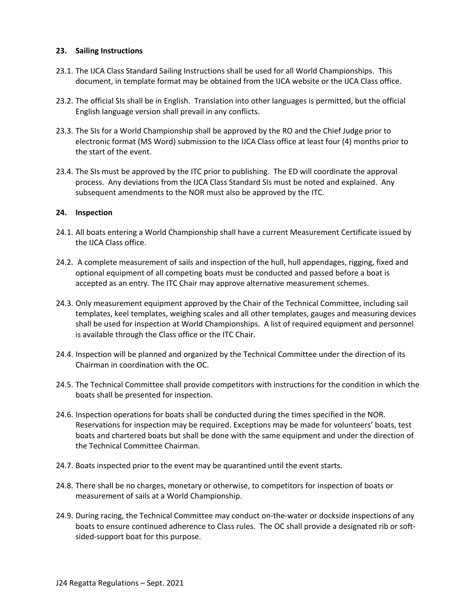# **23. Sailing Instructions**

- 23.1. The IJCA Class Standard Sailing Instructions shall be used for all World Championships. This document, in template format may be obtained from the IJCA website or the IJCA Class office.
- 23.2. The official SIs shall be in English. Translation into other languages is permitted, but the official English language version shall prevail in any conflicts.
- 23.3. The SIs for a World Championship shall be approved by the RO and the Chief Judge prior to electronic format (MS Word) submission to the IJCA Class office at least four (4) months prior to the start of the event.
- 23.4. The SIs must be approved by the ITC prior to publishing. The ED will coordinate the approval process. Any deviations from the IJCA Class Standard SIs must be noted and explained. Any subsequent amendments to the NOR must also be approved by the ITC.

#### **24. Inspection**

- 24.1. All boats entering a World Championship shall have a current Measurement Certificate issued by the IJCA Class office.
- 24.2. A complete measurement of sails and inspection of the hull, hull appendages, rigging, fixed and optional equipment of all competing boats must be conducted and passed before a boat is accepted as an entry. The ITC Chair may approve alternative measurement schemes.
- 24.3. Only measurement equipment approved by the Chair of the Technical Committee, including sail templates, keel templates, weighing scales and all other templates, gauges and measuring devices shall be used for inspection at World Championships. A list of required equipment and personnel is available through the Class office or the ITC Chair.
- 24.4. Inspection will be planned and organized by the Technical Committee under the direction of its Chairman in coordination with the OC.
- 24.5. The Technical Committee shall provide competitors with instructions for the condition in which the boats shall be presented for inspection.
- 24.6. Inspection operations for boats shall be conducted during the times specified in the NOR. Reservations for inspection may be required. Exceptions may be made for volunteers' boats, test boats and chartered boats but shall be done with the same equipment and under the direction of the Technical Committee Chairman.
- 24.7. Boats inspected prior to the event may be quarantined until the event starts.
- 24.8. There shall be no charges, monetary or otherwise, to competitors for inspection of boats or measurement of sails at a World Championship.
- 24.9. During racing, the Technical Committee may conduct on-the-water or dockside inspections of any boats to ensure continued adherence to Class rules. The OC shall provide a designated rib or softsided-support boat for this purpose.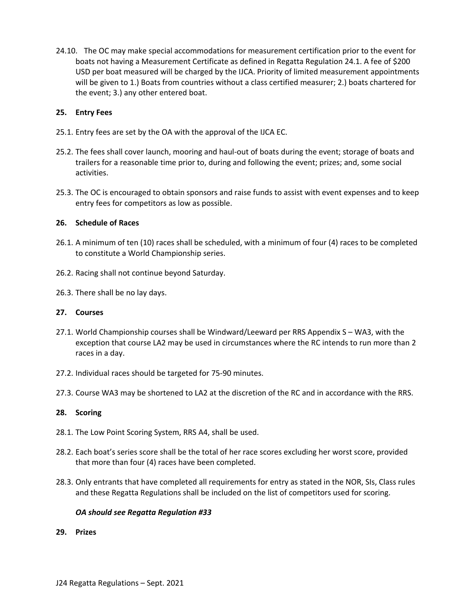24.10. The OC may make special accommodations for measurement certification prior to the event for boats not having a Measurement Certificate as defined in Regatta Regulation 24.1. A fee of \$200 USD per boat measured will be charged by the IJCA. Priority of limited measurement appointments will be given to 1.) Boats from countries without a class certified measurer; 2.) boats chartered for the event; 3.) any other entered boat.

# **25. Entry Fees**

- 25.1. Entry fees are set by the OA with the approval of the IJCA EC.
- 25.2. The fees shall cover launch, mooring and haul-out of boats during the event; storage of boats and trailers for a reasonable time prior to, during and following the event; prizes; and, some social activities.
- 25.3. The OC is encouraged to obtain sponsors and raise funds to assist with event expenses and to keep entry fees for competitors as low as possible.

# **26. Schedule of Races**

- 26.1. A minimum of ten (10) races shall be scheduled, with a minimum of four (4) races to be completed to constitute a World Championship series.
- 26.2. Racing shall not continue beyond Saturday.
- 26.3. There shall be no lay days.

# **27. Courses**

- 27.1. World Championship courses shall be Windward/Leeward per RRS Appendix S WA3, with the exception that course LA2 may be used in circumstances where the RC intends to run more than 2 races in a day.
- 27.2. Individual races should be targeted for 75-90 minutes.
- 27.3. Course WA3 may be shortened to LA2 at the discretion of the RC and in accordance with the RRS.

# **28. Scoring**

- 28.1. The Low Point Scoring System, RRS A4, shall be used.
- 28.2. Each boat's series score shall be the total of her race scores excluding her worst score, provided that more than four (4) races have been completed.
- 28.3. Only entrants that have completed all requirements for entry as stated in the NOR, SIs, Class rules and these Regatta Regulations shall be included on the list of competitors used for scoring.

# *OA should see Regatta Regulation #33*

**29. Prizes**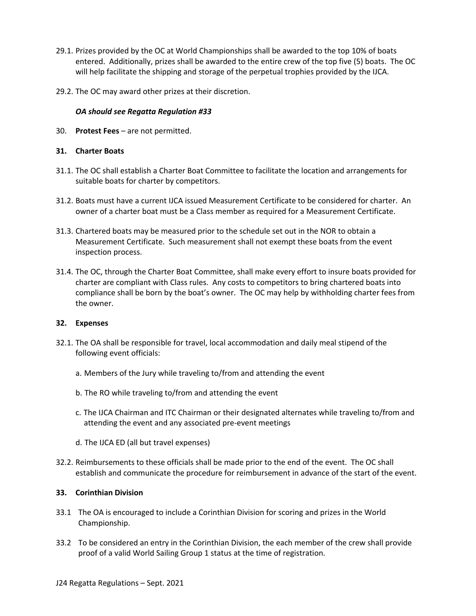- 29.1. Prizes provided by the OC at World Championships shall be awarded to the top 10% of boats entered. Additionally, prizes shall be awarded to the entire crew of the top five (5) boats. The OC will help facilitate the shipping and storage of the perpetual trophies provided by the IJCA.
- 29.2. The OC may award other prizes at their discretion.

# *OA should see Regatta Regulation #33*

30. **Protest Fees** – are not permitted.

# **31. Charter Boats**

- 31.1. The OC shall establish a Charter Boat Committee to facilitate the location and arrangements for suitable boats for charter by competitors.
- 31.2. Boats must have a current IJCA issued Measurement Certificate to be considered for charter. An owner of a charter boat must be a Class member as required for a Measurement Certificate.
- 31.3. Chartered boats may be measured prior to the schedule set out in the NOR to obtain a Measurement Certificate. Such measurement shall not exempt these boats from the event inspection process.
- 31.4. The OC, through the Charter Boat Committee, shall make every effort to insure boats provided for charter are compliant with Class rules. Any costs to competitors to bring chartered boats into compliance shall be born by the boat's owner. The OC may help by withholding charter fees from the owner.

# **32. Expenses**

- 32.1. The OA shall be responsible for travel, local accommodation and daily meal stipend of the following event officials:
	- a. Members of the Jury while traveling to/from and attending the event
	- b. The RO while traveling to/from and attending the event
	- c. The IJCA Chairman and ITC Chairman or their designated alternates while traveling to/from and attending the event and any associated pre-event meetings
	- d. The IJCA ED (all but travel expenses)
- 32.2. Reimbursements to these officials shall be made prior to the end of the event. The OC shall establish and communicate the procedure for reimbursement in advance of the start of the event.

# **33. Corinthian Division**

- 33.1 The OA is encouraged to include a Corinthian Division for scoring and prizes in the World Championship.
- 33.2 To be considered an entry in the Corinthian Division, the each member of the crew shall provide proof of a valid World Sailing Group 1 status at the time of registration.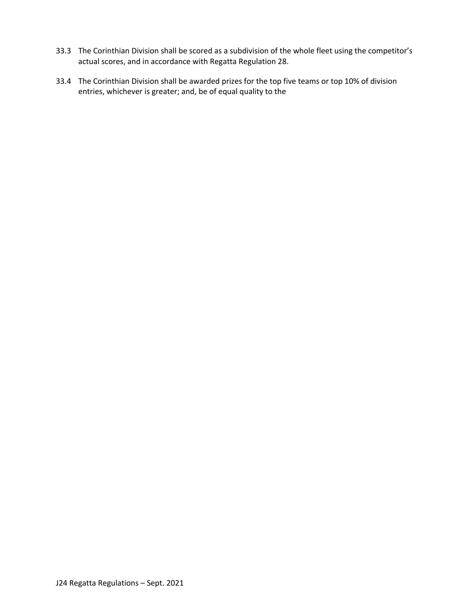- 33.3 The Corinthian Division shall be scored as a subdivision of the whole fleet using the competitor's actual scores, and in accordance with Regatta Regulation 28.
- 33.4 The Corinthian Division shall be awarded prizes for the top five teams or top 10% of division entries, whichever is greater; and, be of equal quality to the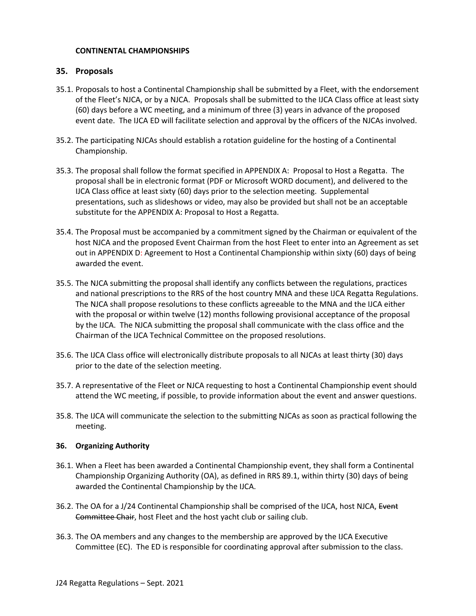# **CONTINENTAL CHAMPIONSHIPS**

# **35. Proposals**

- 35.1. Proposals to host a Continental Championship shall be submitted by a Fleet, with the endorsement of the Fleet's NJCA, or by a NJCA. Proposals shall be submitted to the IJCA Class office at least sixty (60) days before a WC meeting, and a minimum of three (3) years in advance of the proposed event date. The IJCA ED will facilitate selection and approval by the officers of the NJCAs involved.
- 35.2. The participating NJCAs should establish a rotation guideline for the hosting of a Continental Championship.
- 35.3. The proposal shall follow the format specified in APPENDIX A: Proposal to Host a Regatta. The proposal shall be in electronic format (PDF or Microsoft WORD document), and delivered to the IJCA Class office at least sixty (60) days prior to the selection meeting. Supplemental presentations, such as slideshows or video, may also be provided but shall not be an acceptable substitute for the APPENDIX A: Proposal to Host a Regatta.
- 35.4. The Proposal must be accompanied by a commitment signed by the Chairman or equivalent of the host NJCA and the proposed Event Chairman from the host Fleet to enter into an Agreement as set out in APPENDIX D: Agreement to Host a Continental Championship within sixty (60) days of being awarded the event.
- 35.5. The NJCA submitting the proposal shall identify any conflicts between the regulations, practices and national prescriptions to the RRS of the host country MNA and these IJCA Regatta Regulations. The NJCA shall propose resolutions to these conflicts agreeable to the MNA and the IJCA either with the proposal or within twelve (12) months following provisional acceptance of the proposal by the IJCA. The NJCA submitting the proposal shall communicate with the class office and the Chairman of the IJCA Technical Committee on the proposed resolutions.
- 35.6. The IJCA Class office will electronically distribute proposals to all NJCAs at least thirty (30) days prior to the date of the selection meeting.
- 35.7. A representative of the Fleet or NJCA requesting to host a Continental Championship event should attend the WC meeting, if possible, to provide information about the event and answer questions.
- 35.8. The IJCA will communicate the selection to the submitting NJCAs as soon as practical following the meeting.

# **36. Organizing Authority**

- 36.1. When a Fleet has been awarded a Continental Championship event, they shall form a Continental Championship Organizing Authority (OA), as defined in RRS 89.1, within thirty (30) days of being awarded the Continental Championship by the IJCA.
- 36.2. The OA for a J/24 Continental Championship shall be comprised of the IJCA, host NJCA, Event Committee Chair, host Fleet and the host yacht club or sailing club.
- 36.3. The OA members and any changes to the membership are approved by the IJCA Executive Committee (EC). The ED is responsible for coordinating approval after submission to the class.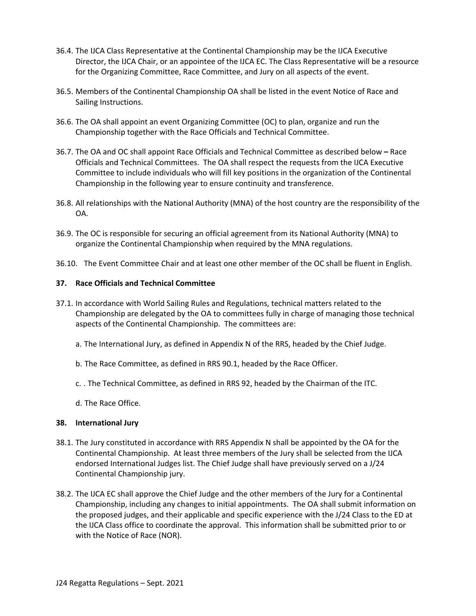- 36.4. The IJCA Class Representative at the Continental Championship may be the IJCA Executive Director, the IJCA Chair, or an appointee of the IJCA EC. The Class Representative will be a resource for the Organizing Committee, Race Committee, and Jury on all aspects of the event.
- 36.5. Members of the Continental Championship OA shall be listed in the event Notice of Race and Sailing Instructions.
- 36.6. The OA shall appoint an event Organizing Committee (OC) to plan, organize and run the Championship together with the Race Officials and Technical Committee.
- 36.7. The OA and OC shall appoint Race Officials and Technical Committee as described below **–** Race Officials and Technical Committees. The OA shall respect the requests from the IJCA Executive Committee to include individuals who will fill key positions in the organization of the Continental Championship in the following year to ensure continuity and transference.
- 36.8. All relationships with the National Authority (MNA) of the host country are the responsibility of the OA.
- 36.9. The OC is responsible for securing an official agreement from its National Authority (MNA) to organize the Continental Championship when required by the MNA regulations.
- 36.10. The Event Committee Chair and at least one other member of the OC shall be fluent in English.

# **37. Race Officials and Technical Committee**

- 37.1. In accordance with World Sailing Rules and Regulations, technical matters related to the Championship are delegated by the OA to committees fully in charge of managing those technical aspects of the Continental Championship. The committees are:
	- a. The International Jury, as defined in Appendix N of the RRS, headed by the Chief Judge.
	- b. The Race Committee, as defined in RRS 90.1, headed by the Race Officer.
	- c. . The Technical Committee, as defined in RRS 92, headed by the Chairman of the ITC.
	- d. The Race Office.

# **38. International Jury**

- 38.1. The Jury constituted in accordance with RRS Appendix N shall be appointed by the OA for the Continental Championship. At least three members of the Jury shall be selected from the IJCA endorsed International Judges list. The Chief Judge shall have previously served on a J/24 Continental Championship jury.
- 38.2. The IJCA EC shall approve the Chief Judge and the other members of the Jury for a Continental Championship, including any changes to initial appointments. The OA shall submit information on the proposed judges, and their applicable and specific experience with the J/24 Class to the ED at the IJCA Class office to coordinate the approval. This information shall be submitted prior to or with the Notice of Race (NOR).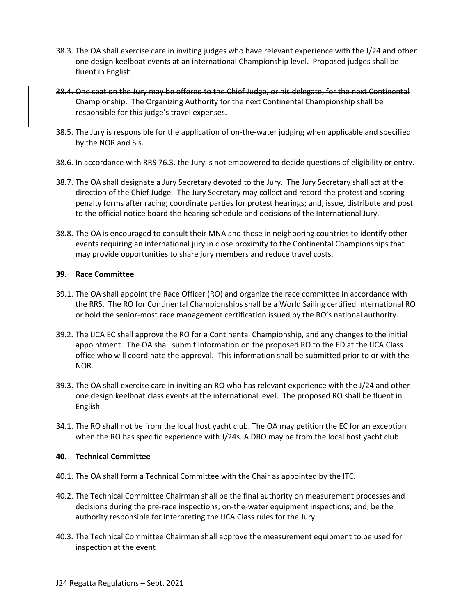- 38.3. The OA shall exercise care in inviting judges who have relevant experience with the J/24 and other one design keelboat events at an international Championship level. Proposed judges shall be fluent in English.
- 38.4. One seat on the Jury may be offered to the Chief Judge, or his delegate, for the next Continental Championship. The Organizing Authority for the next Continental Championship shall be responsible for this judge's travel expenses.
- 38.5. The Jury is responsible for the application of on-the-water judging when applicable and specified by the NOR and SIs.
- 38.6. In accordance with RRS 76.3, the Jury is not empowered to decide questions of eligibility or entry.
- 38.7. The OA shall designate a Jury Secretary devoted to the Jury. The Jury Secretary shall act at the direction of the Chief Judge. The Jury Secretary may collect and record the protest and scoring penalty forms after racing; coordinate parties for protest hearings; and, issue, distribute and post to the official notice board the hearing schedule and decisions of the International Jury.
- 38.8. The OA is encouraged to consult their MNA and those in neighboring countries to identify other events requiring an international jury in close proximity to the Continental Championships that may provide opportunities to share jury members and reduce travel costs.

#### **39. Race Committee**

- 39.1. The OA shall appoint the Race Officer (RO) and organize the race committee in accordance with the RRS. The RO for Continental Championships shall be a World Sailing certified International RO or hold the senior-most race management certification issued by the RO's national authority.
- 39.2. The IJCA EC shall approve the RO for a Continental Championship, and any changes to the initial appointment. The OA shall submit information on the proposed RO to the ED at the IJCA Class office who will coordinate the approval. This information shall be submitted prior to or with the NOR.
- 39.3. The OA shall exercise care in inviting an RO who has relevant experience with the J/24 and other one design keelboat class events at the international level. The proposed RO shall be fluent in English.
- 34.1. The RO shall not be from the local host yacht club. The OA may petition the EC for an exception when the RO has specific experience with J/24s. A DRO may be from the local host yacht club.

# **40. Technical Committee**

- 40.1. The OA shall form a Technical Committee with the Chair as appointed by the ITC.
- 40.2. The Technical Committee Chairman shall be the final authority on measurement processes and decisions during the pre-race inspections; on-the-water equipment inspections; and, be the authority responsible for interpreting the IJCA Class rules for the Jury.
- 40.3. The Technical Committee Chairman shall approve the measurement equipment to be used for inspection at the event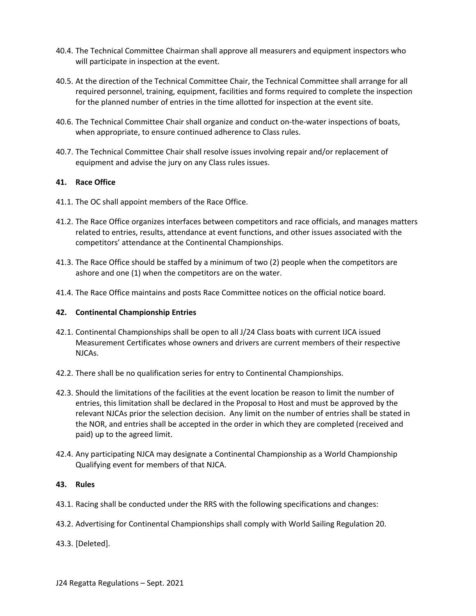- 40.4. The Technical Committee Chairman shall approve all measurers and equipment inspectors who will participate in inspection at the event.
- 40.5. At the direction of the Technical Committee Chair, the Technical Committee shall arrange for all required personnel, training, equipment, facilities and forms required to complete the inspection for the planned number of entries in the time allotted for inspection at the event site.
- 40.6. The Technical Committee Chair shall organize and conduct on-the-water inspections of boats, when appropriate, to ensure continued adherence to Class rules.
- 40.7. The Technical Committee Chair shall resolve issues involving repair and/or replacement of equipment and advise the jury on any Class rules issues.

# **41. Race Office**

- 41.1. The OC shall appoint members of the Race Office.
- 41.2. The Race Office organizes interfaces between competitors and race officials, and manages matters related to entries, results, attendance at event functions, and other issues associated with the competitors' attendance at the Continental Championships.
- 41.3. The Race Office should be staffed by a minimum of two (2) people when the competitors are ashore and one (1) when the competitors are on the water.
- 41.4. The Race Office maintains and posts Race Committee notices on the official notice board.

#### **42. Continental Championship Entries**

- 42.1. Continental Championships shall be open to all J/24 Class boats with current IJCA issued Measurement Certificates whose owners and drivers are current members of their respective NJCAs.
- 42.2. There shall be no qualification series for entry to Continental Championships.
- 42.3. Should the limitations of the facilities at the event location be reason to limit the number of entries, this limitation shall be declared in the Proposal to Host and must be approved by the relevant NJCAs prior the selection decision. Any limit on the number of entries shall be stated in the NOR, and entries shall be accepted in the order in which they are completed (received and paid) up to the agreed limit.
- 42.4. Any participating NJCA may designate a Continental Championship as a World Championship Qualifying event for members of that NJCA.

#### **43. Rules**

- 43.1. Racing shall be conducted under the RRS with the following specifications and changes:
- 43.2. Advertising for Continental Championships shall comply with World Sailing Regulation 20.

43.3. [Deleted].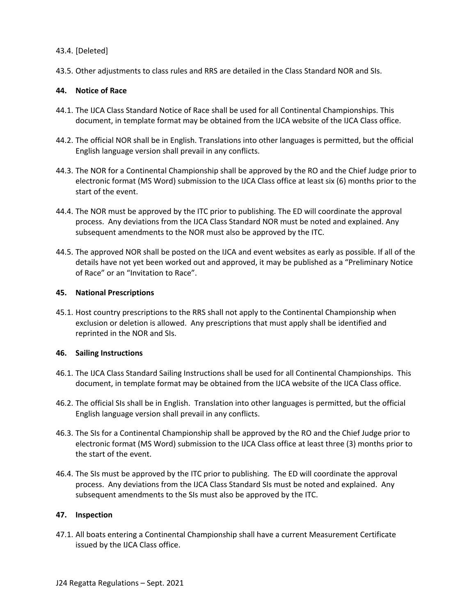# 43.4. [Deleted]

43.5. Other adjustments to class rules and RRS are detailed in the Class Standard NOR and SIs.

# **44. Notice of Race**

- 44.1. The IJCA Class Standard Notice of Race shall be used for all Continental Championships. This document, in template format may be obtained from the IJCA website of the IJCA Class office.
- 44.2. The official NOR shall be in English. Translations into other languages is permitted, but the official English language version shall prevail in any conflicts.
- 44.3. The NOR for a Continental Championship shall be approved by the RO and the Chief Judge prior to electronic format (MS Word) submission to the IJCA Class office at least six (6) months prior to the start of the event.
- 44.4. The NOR must be approved by the ITC prior to publishing. The ED will coordinate the approval process. Any deviations from the IJCA Class Standard NOR must be noted and explained. Any subsequent amendments to the NOR must also be approved by the ITC.
- 44.5. The approved NOR shall be posted on the IJCA and event websites as early as possible. If all of the details have not yet been worked out and approved, it may be published as a "Preliminary Notice of Race" or an "Invitation to Race".

# **45. National Prescriptions**

45.1. Host country prescriptions to the RRS shall not apply to the Continental Championship when exclusion or deletion is allowed. Any prescriptions that must apply shall be identified and reprinted in the NOR and SIs.

# **46. Sailing Instructions**

- 46.1. The IJCA Class Standard Sailing Instructions shall be used for all Continental Championships. This document, in template format may be obtained from the IJCA website of the IJCA Class office.
- 46.2. The official SIs shall be in English. Translation into other languages is permitted, but the official English language version shall prevail in any conflicts.
- 46.3. The SIs for a Continental Championship shall be approved by the RO and the Chief Judge prior to electronic format (MS Word) submission to the IJCA Class office at least three (3) months prior to the start of the event.
- 46.4. The SIs must be approved by the ITC prior to publishing. The ED will coordinate the approval process. Any deviations from the IJCA Class Standard SIs must be noted and explained. Any subsequent amendments to the SIs must also be approved by the ITC.

# **47. Inspection**

47.1. All boats entering a Continental Championship shall have a current Measurement Certificate issued by the IJCA Class office.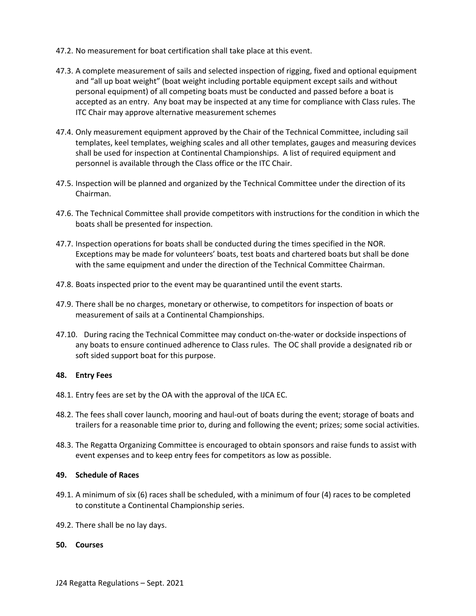- 47.2. No measurement for boat certification shall take place at this event.
- 47.3. A complete measurement of sails and selected inspection of rigging, fixed and optional equipment and "all up boat weight" (boat weight including portable equipment except sails and without personal equipment) of all competing boats must be conducted and passed before a boat is accepted as an entry. Any boat may be inspected at any time for compliance with Class rules. The ITC Chair may approve alternative measurement schemes
- 47.4. Only measurement equipment approved by the Chair of the Technical Committee, including sail templates, keel templates, weighing scales and all other templates, gauges and measuring devices shall be used for inspection at Continental Championships. A list of required equipment and personnel is available through the Class office or the ITC Chair.
- 47.5. Inspection will be planned and organized by the Technical Committee under the direction of its Chairman.
- 47.6. The Technical Committee shall provide competitors with instructions for the condition in which the boats shall be presented for inspection.
- 47.7. Inspection operations for boats shall be conducted during the times specified in the NOR. Exceptions may be made for volunteers' boats, test boats and chartered boats but shall be done with the same equipment and under the direction of the Technical Committee Chairman.
- 47.8. Boats inspected prior to the event may be quarantined until the event starts.
- 47.9. There shall be no charges, monetary or otherwise, to competitors for inspection of boats or measurement of sails at a Continental Championships.
- 47.10. During racing the Technical Committee may conduct on-the-water or dockside inspections of any boats to ensure continued adherence to Class rules. The OC shall provide a designated rib or soft sided support boat for this purpose.

#### **48. Entry Fees**

- 48.1. Entry fees are set by the OA with the approval of the IJCA EC.
- 48.2. The fees shall cover launch, mooring and haul-out of boats during the event; storage of boats and trailers for a reasonable time prior to, during and following the event; prizes; some social activities.
- 48.3. The Regatta Organizing Committee is encouraged to obtain sponsors and raise funds to assist with event expenses and to keep entry fees for competitors as low as possible.

# **49. Schedule of Races**

- 49.1. A minimum of six (6) races shall be scheduled, with a minimum of four (4) races to be completed to constitute a Continental Championship series.
- 49.2. There shall be no lay days.

#### **50. Courses**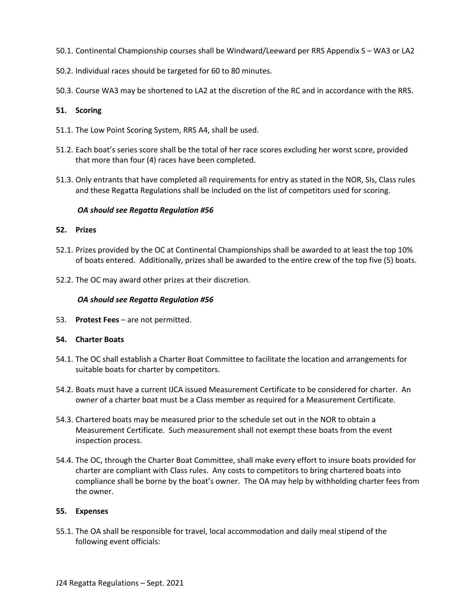- 50.1. Continental Championship courses shall be Windward/Leeward per RRS Appendix S WA3 or LA2
- 50.2. Individual races should be targeted for 60 to 80 minutes.
- 50.3. Course WA3 may be shortened to LA2 at the discretion of the RC and in accordance with the RRS.

# **51. Scoring**

- 51.1. The Low Point Scoring System, RRS A4, shall be used.
- 51.2. Each boat's series score shall be the total of her race scores excluding her worst score, provided that more than four (4) races have been completed.
- 51.3. Only entrants that have completed all requirements for entry as stated in the NOR, SIs, Class rules and these Regatta Regulations shall be included on the list of competitors used for scoring.

# *OA should see Regatta Regulation #56*

# **52. Prizes**

- 52.1. Prizes provided by the OC at Continental Championships shall be awarded to at least the top 10% of boats entered. Additionally, prizes shall be awarded to the entire crew of the top five (5) boats.
- 52.2. The OC may award other prizes at their discretion.

#### *OA should see Regatta Regulation #56*

53. **Protest Fees** – are not permitted.

# **54. Charter Boats**

- 54.1. The OC shall establish a Charter Boat Committee to facilitate the location and arrangements for suitable boats for charter by competitors.
- 54.2. Boats must have a current IJCA issued Measurement Certificate to be considered for charter. An owner of a charter boat must be a Class member as required for a Measurement Certificate.
- 54.3. Chartered boats may be measured prior to the schedule set out in the NOR to obtain a Measurement Certificate. Such measurement shall not exempt these boats from the event inspection process.
- 54.4. The OC, through the Charter Boat Committee, shall make every effort to insure boats provided for charter are compliant with Class rules. Any costs to competitors to bring chartered boats into compliance shall be borne by the boat's owner. The OA may help by withholding charter fees from the owner.

# **55. Expenses**

55.1. The OA shall be responsible for travel, local accommodation and daily meal stipend of the following event officials: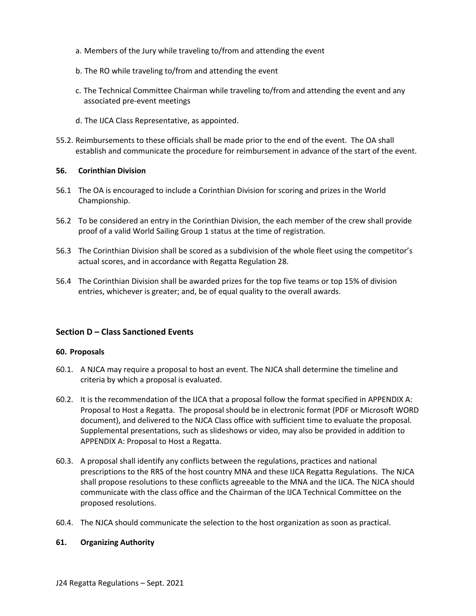- a. Members of the Jury while traveling to/from and attending the event
- b. The RO while traveling to/from and attending the event
- c. The Technical Committee Chairman while traveling to/from and attending the event and any associated pre-event meetings
- d. The IJCA Class Representative, as appointed.
- 55.2. Reimbursements to these officials shall be made prior to the end of the event. The OA shall establish and communicate the procedure for reimbursement in advance of the start of the event.

# **56. Corinthian Division**

- 56.1 The OA is encouraged to include a Corinthian Division for scoring and prizes in the World Championship.
- 56.2 To be considered an entry in the Corinthian Division, the each member of the crew shall provide proof of a valid World Sailing Group 1 status at the time of registration.
- 56.3 The Corinthian Division shall be scored as a subdivision of the whole fleet using the competitor's actual scores, and in accordance with Regatta Regulation 28.
- 56.4 The Corinthian Division shall be awarded prizes for the top five teams or top 15% of division entries, whichever is greater; and, be of equal quality to the overall awards.

# **Section D – Class Sanctioned Events**

# **60. Proposals**

- 60.1. A NJCA may require a proposal to host an event. The NJCA shall determine the timeline and criteria by which a proposal is evaluated.
- 60.2. It is the recommendation of the IJCA that a proposal follow the format specified in APPENDIX A: Proposal to Host a Regatta. The proposal should be in electronic format (PDF or Microsoft WORD document), and delivered to the NJCA Class office with sufficient time to evaluate the proposal. Supplemental presentations, such as slideshows or video, may also be provided in addition to APPENDIX A: Proposal to Host a Regatta.
- 60.3. A proposal shall identify any conflicts between the regulations, practices and national prescriptions to the RRS of the host country MNA and these IJCA Regatta Regulations. The NJCA shall propose resolutions to these conflicts agreeable to the MNA and the IJCA. The NJCA should communicate with the class office and the Chairman of the IJCA Technical Committee on the proposed resolutions.
- 60.4. The NJCA should communicate the selection to the host organization as soon as practical.

#### **61. Organizing Authority**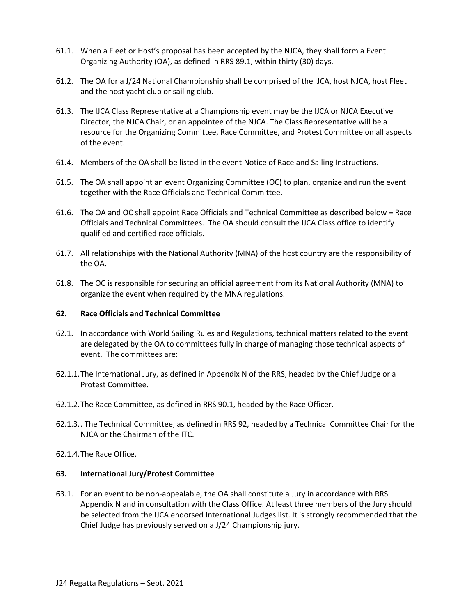- 61.1. When a Fleet or Host's proposal has been accepted by the NJCA, they shall form a Event Organizing Authority (OA), as defined in RRS 89.1, within thirty (30) days.
- 61.2. The OA for a J/24 National Championship shall be comprised of the IJCA, host NJCA, host Fleet and the host yacht club or sailing club.
- 61.3. The IJCA Class Representative at a Championship event may be the IJCA or NJCA Executive Director, the NJCA Chair, or an appointee of the NJCA. The Class Representative will be a resource for the Organizing Committee, Race Committee, and Protest Committee on all aspects of the event.
- 61.4. Members of the OA shall be listed in the event Notice of Race and Sailing Instructions.
- 61.5. The OA shall appoint an event Organizing Committee (OC) to plan, organize and run the event together with the Race Officials and Technical Committee.
- 61.6. The OA and OC shall appoint Race Officials and Technical Committee as described below **–** Race Officials and Technical Committees. The OA should consult the IJCA Class office to identify qualified and certified race officials.
- 61.7. All relationships with the National Authority (MNA) of the host country are the responsibility of the OA.
- 61.8. The OC is responsible for securing an official agreement from its National Authority (MNA) to organize the event when required by the MNA regulations.

# **62. Race Officials and Technical Committee**

- 62.1. In accordance with World Sailing Rules and Regulations, technical matters related to the event are delegated by the OA to committees fully in charge of managing those technical aspects of event. The committees are:
- 62.1.1.The International Jury, as defined in Appendix N of the RRS, headed by the Chief Judge or a Protest Committee.
- 62.1.2.The Race Committee, as defined in RRS 90.1, headed by the Race Officer.
- 62.1.3.. The Technical Committee, as defined in RRS 92, headed by a Technical Committee Chair for the NJCA or the Chairman of the ITC.
- 62.1.4.The Race Office.

#### **63. International Jury/Protest Committee**

63.1. For an event to be non-appealable, the OA shall constitute a Jury in accordance with RRS Appendix N and in consultation with the Class Office. At least three members of the Jury should be selected from the IJCA endorsed International Judges list. It is strongly recommended that the Chief Judge has previously served on a J/24 Championship jury.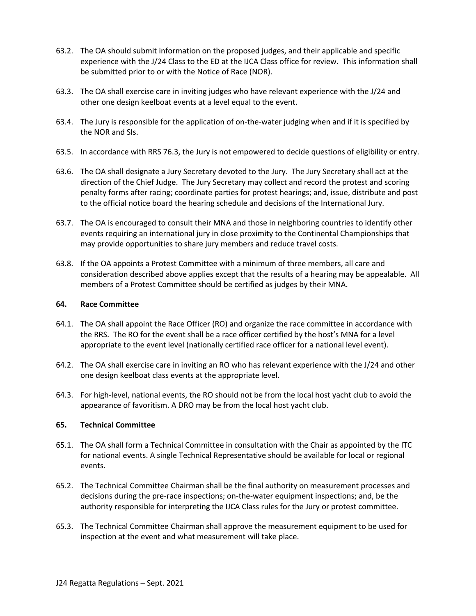- 63.2. The OA should submit information on the proposed judges, and their applicable and specific experience with the J/24 Class to the ED at the IJCA Class office for review. This information shall be submitted prior to or with the Notice of Race (NOR).
- 63.3. The OA shall exercise care in inviting judges who have relevant experience with the J/24 and other one design keelboat events at a level equal to the event.
- 63.4. The Jury is responsible for the application of on-the-water judging when and if it is specified by the NOR and SIs.
- 63.5. In accordance with RRS 76.3, the Jury is not empowered to decide questions of eligibility or entry.
- 63.6. The OA shall designate a Jury Secretary devoted to the Jury. The Jury Secretary shall act at the direction of the Chief Judge. The Jury Secretary may collect and record the protest and scoring penalty forms after racing; coordinate parties for protest hearings; and, issue, distribute and post to the official notice board the hearing schedule and decisions of the International Jury.
- 63.7. The OA is encouraged to consult their MNA and those in neighboring countries to identify other events requiring an international jury in close proximity to the Continental Championships that may provide opportunities to share jury members and reduce travel costs.
- 63.8. If the OA appoints a Protest Committee with a minimum of three members, all care and consideration described above applies except that the results of a hearing may be appealable. All members of a Protest Committee should be certified as judges by their MNA.

#### **64. Race Committee**

- 64.1. The OA shall appoint the Race Officer (RO) and organize the race committee in accordance with the RRS. The RO for the event shall be a race officer certified by the host's MNA for a level appropriate to the event level (nationally certified race officer for a national level event).
- 64.2. The OA shall exercise care in inviting an RO who has relevant experience with the J/24 and other one design keelboat class events at the appropriate level.
- 64.3. For high-level, national events, the RO should not be from the local host yacht club to avoid the appearance of favoritism. A DRO may be from the local host yacht club.

#### **65. Technical Committee**

- 65.1. The OA shall form a Technical Committee in consultation with the Chair as appointed by the ITC for national events. A single Technical Representative should be available for local or regional events.
- 65.2. The Technical Committee Chairman shall be the final authority on measurement processes and decisions during the pre-race inspections; on-the-water equipment inspections; and, be the authority responsible for interpreting the IJCA Class rules for the Jury or protest committee.
- 65.3. The Technical Committee Chairman shall approve the measurement equipment to be used for inspection at the event and what measurement will take place.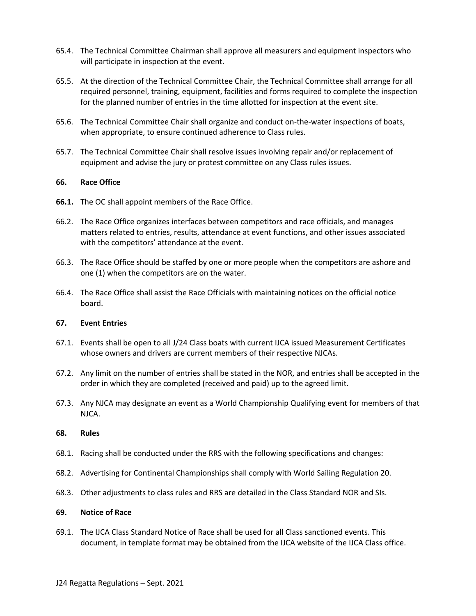- 65.4. The Technical Committee Chairman shall approve all measurers and equipment inspectors who will participate in inspection at the event.
- 65.5. At the direction of the Technical Committee Chair, the Technical Committee shall arrange for all required personnel, training, equipment, facilities and forms required to complete the inspection for the planned number of entries in the time allotted for inspection at the event site.
- 65.6. The Technical Committee Chair shall organize and conduct on-the-water inspections of boats, when appropriate, to ensure continued adherence to Class rules.
- 65.7. The Technical Committee Chair shall resolve issues involving repair and/or replacement of equipment and advise the jury or protest committee on any Class rules issues.

# **66. Race Office**

- **66.1.** The OC shall appoint members of the Race Office.
- 66.2. The Race Office organizes interfaces between competitors and race officials, and manages matters related to entries, results, attendance at event functions, and other issues associated with the competitors' attendance at the event.
- 66.3. The Race Office should be staffed by one or more people when the competitors are ashore and one (1) when the competitors are on the water.
- 66.4. The Race Office shall assist the Race Officials with maintaining notices on the official notice board.

#### **67. Event Entries**

- 67.1. Events shall be open to all J/24 Class boats with current IJCA issued Measurement Certificates whose owners and drivers are current members of their respective NJCAs.
- 67.2. Any limit on the number of entries shall be stated in the NOR, and entries shall be accepted in the order in which they are completed (received and paid) up to the agreed limit.
- 67.3. Any NJCA may designate an event as a World Championship Qualifying event for members of that NJCA.

#### **68. Rules**

- 68.1. Racing shall be conducted under the RRS with the following specifications and changes:
- 68.2. Advertising for Continental Championships shall comply with World Sailing Regulation 20.
- 68.3. Other adjustments to class rules and RRS are detailed in the Class Standard NOR and SIs.

#### **69. Notice of Race**

69.1. The IJCA Class Standard Notice of Race shall be used for all Class sanctioned events. This document, in template format may be obtained from the IJCA website of the IJCA Class office.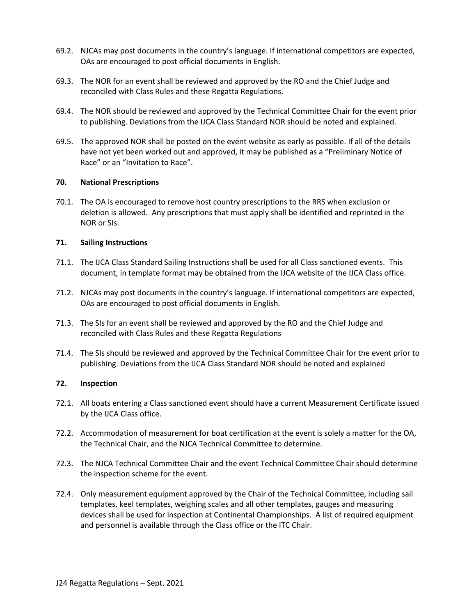- 69.2. NJCAs may post documents in the country's language. If international competitors are expected, OAs are encouraged to post official documents in English.
- 69.3. The NOR for an event shall be reviewed and approved by the RO and the Chief Judge and reconciled with Class Rules and these Regatta Regulations.
- 69.4. The NOR should be reviewed and approved by the Technical Committee Chair for the event prior to publishing. Deviations from the IJCA Class Standard NOR should be noted and explained.
- 69.5. The approved NOR shall be posted on the event website as early as possible. If all of the details have not yet been worked out and approved, it may be published as a "Preliminary Notice of Race" or an "Invitation to Race".

# **70. National Prescriptions**

70.1. The OA is encouraged to remove host country prescriptions to the RRS when exclusion or deletion is allowed. Any prescriptions that must apply shall be identified and reprinted in the NOR or SIs.

#### **71. Sailing Instructions**

- 71.1. The IJCA Class Standard Sailing Instructions shall be used for all Class sanctioned events. This document, in template format may be obtained from the IJCA website of the IJCA Class office.
- 71.2. NJCAs may post documents in the country's language. If international competitors are expected, OAs are encouraged to post official documents in English.
- 71.3. The SIs for an event shall be reviewed and approved by the RO and the Chief Judge and reconciled with Class Rules and these Regatta Regulations
- 71.4. The SIs should be reviewed and approved by the Technical Committee Chair for the event prior to publishing. Deviations from the IJCA Class Standard NOR should be noted and explained

# **72. Inspection**

- 72.1. All boats entering a Class sanctioned event should have a current Measurement Certificate issued by the IJCA Class office.
- 72.2. Accommodation of measurement for boat certification at the event is solely a matter for the OA, the Technical Chair, and the NJCA Technical Committee to determine.
- 72.3. The NJCA Technical Committee Chair and the event Technical Committee Chair should determine the inspection scheme for the event.
- 72.4. Only measurement equipment approved by the Chair of the Technical Committee, including sail templates, keel templates, weighing scales and all other templates, gauges and measuring devices shall be used for inspection at Continental Championships. A list of required equipment and personnel is available through the Class office or the ITC Chair.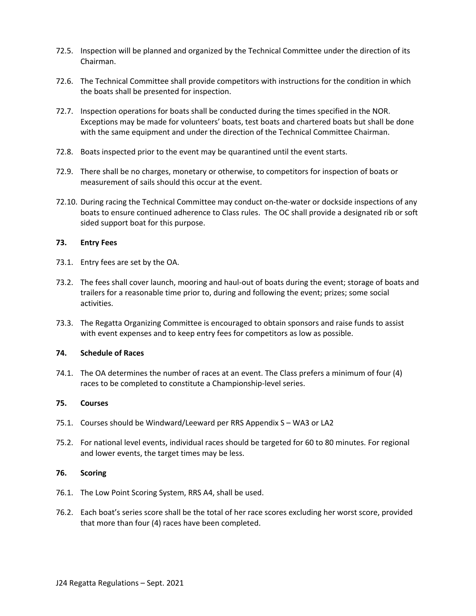- 72.5. Inspection will be planned and organized by the Technical Committee under the direction of its Chairman.
- 72.6. The Technical Committee shall provide competitors with instructions for the condition in which the boats shall be presented for inspection.
- 72.7. Inspection operations for boats shall be conducted during the times specified in the NOR. Exceptions may be made for volunteers' boats, test boats and chartered boats but shall be done with the same equipment and under the direction of the Technical Committee Chairman.
- 72.8. Boats inspected prior to the event may be quarantined until the event starts.
- 72.9. There shall be no charges, monetary or otherwise, to competitors for inspection of boats or measurement of sails should this occur at the event.
- 72.10. During racing the Technical Committee may conduct on-the-water or dockside inspections of any boats to ensure continued adherence to Class rules. The OC shall provide a designated rib or soft sided support boat for this purpose.

#### **73. Entry Fees**

- 73.1. Entry fees are set by the OA.
- 73.2. The fees shall cover launch, mooring and haul-out of boats during the event; storage of boats and trailers for a reasonable time prior to, during and following the event; prizes; some social activities.
- 73.3. The Regatta Organizing Committee is encouraged to obtain sponsors and raise funds to assist with event expenses and to keep entry fees for competitors as low as possible.

# **74. Schedule of Races**

74.1. The OA determines the number of races at an event. The Class prefers a minimum of four (4) races to be completed to constitute a Championship-level series.

#### **75. Courses**

- 75.1. Courses should be Windward/Leeward per RRS Appendix S WA3 or LA2
- 75.2. For national level events, individual races should be targeted for 60 to 80 minutes. For regional and lower events, the target times may be less.

#### **76. Scoring**

- 76.1. The Low Point Scoring System, RRS A4, shall be used.
- 76.2. Each boat's series score shall be the total of her race scores excluding her worst score, provided that more than four (4) races have been completed.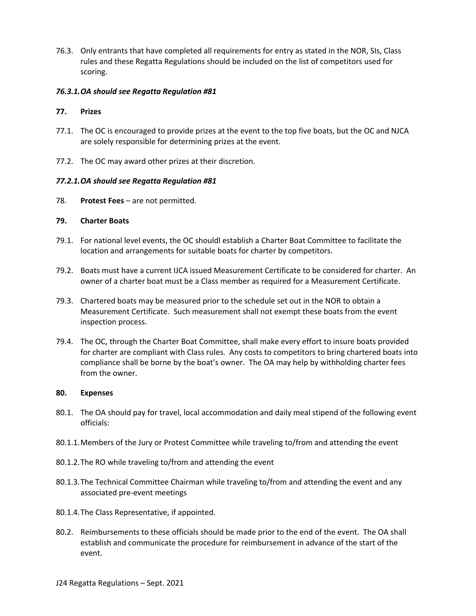76.3. Only entrants that have completed all requirements for entry as stated in the NOR, SIs, Class rules and these Regatta Regulations should be included on the list of competitors used for scoring.

# *76.3.1.OA should see Regatta Regulation #81*

#### **77. Prizes**

- 77.1. The OC is encouraged to provide prizes at the event to the top five boats, but the OC and NJCA are solely responsible for determining prizes at the event.
- 77.2. The OC may award other prizes at their discretion.

#### *77.2.1.OA should see Regatta Regulation #81*

78. **Protest Fees** – are not permitted.

#### **79. Charter Boats**

- 79.1. For national level events, the OC shouldl establish a Charter Boat Committee to facilitate the location and arrangements for suitable boats for charter by competitors.
- 79.2. Boats must have a current IJCA issued Measurement Certificate to be considered for charter. An owner of a charter boat must be a Class member as required for a Measurement Certificate.
- 79.3. Chartered boats may be measured prior to the schedule set out in the NOR to obtain a Measurement Certificate. Such measurement shall not exempt these boats from the event inspection process.
- 79.4. The OC, through the Charter Boat Committee, shall make every effort to insure boats provided for charter are compliant with Class rules. Any costs to competitors to bring chartered boats into compliance shall be borne by the boat's owner. The OA may help by withholding charter fees from the owner.

#### **80. Expenses**

- 80.1. The OA should pay for travel, local accommodation and daily meal stipend of the following event officials:
- 80.1.1.Members of the Jury or Protest Committee while traveling to/from and attending the event
- 80.1.2.The RO while traveling to/from and attending the event
- 80.1.3.The Technical Committee Chairman while traveling to/from and attending the event and any associated pre-event meetings
- 80.1.4.The Class Representative, if appointed.
- 80.2. Reimbursements to these officials should be made prior to the end of the event. The OA shall establish and communicate the procedure for reimbursement in advance of the start of the event.